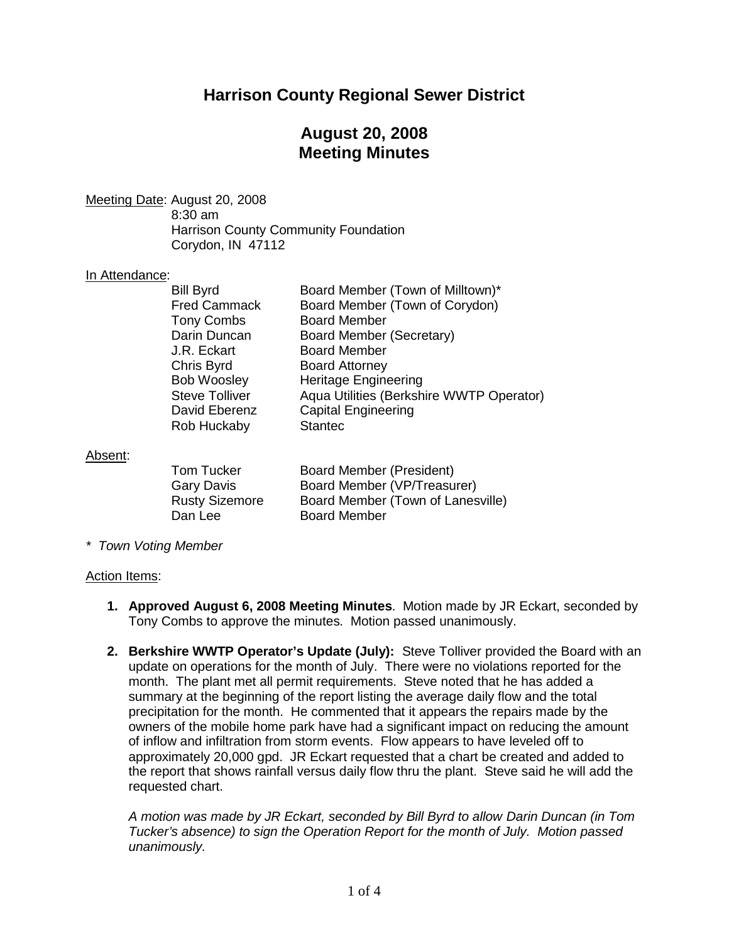# **Harrison County Regional Sewer District**

# **August 20, 2008 Meeting Minutes**

Meeting Date: August 20, 2008

8:30 am Harrison County Community Foundation Corydon, IN 47112

### In Attendance:

| <b>Bill Byrd</b><br><b>Fred Cammack</b><br><b>Tony Combs</b><br>Darin Duncan<br>J.R. Eckart<br>Chris Byrd<br><b>Bob Woosley</b><br><b>Steve Tolliver</b><br>David Eberenz | Board Member (Town of Milltown)*<br>Board Member (Town of Corydon)<br><b>Board Member</b><br>Board Member (Secretary)<br><b>Board Member</b><br><b>Board Attorney</b><br><b>Heritage Engineering</b><br>Aqua Utilities (Berkshire WWTP Operator)<br><b>Capital Engineering</b> |
|---------------------------------------------------------------------------------------------------------------------------------------------------------------------------|--------------------------------------------------------------------------------------------------------------------------------------------------------------------------------------------------------------------------------------------------------------------------------|
| Rob Huckaby                                                                                                                                                               | <b>Stantec</b>                                                                                                                                                                                                                                                                 |
|                                                                                                                                                                           |                                                                                                                                                                                                                                                                                |

### Absent:

| <b>Board Member (President)</b>   |
|-----------------------------------|
| Board Member (VP/Treasurer)       |
| Board Member (Town of Lanesville) |
| <b>Board Member</b>               |
|                                   |

*\* Town Voting Member*

#### Action Items:

- **1. Approved August 6, 2008 Meeting Minutes**. Motion made by JR Eckart, seconded by Tony Combs to approve the minutes. Motion passed unanimously.
- **2. Berkshire WWTP Operator's Update (July):** Steve Tolliver provided the Board with an update on operations for the month of July. There were no violations reported for the month. The plant met all permit requirements. Steve noted that he has added a summary at the beginning of the report listing the average daily flow and the total precipitation for the month. He commented that it appears the repairs made by the owners of the mobile home park have had a significant impact on reducing the amount of inflow and infiltration from storm events. Flow appears to have leveled off to approximately 20,000 gpd. JR Eckart requested that a chart be created and added to the report that shows rainfall versus daily flow thru the plant. Steve said he will add the requested chart.

*A motion was made by JR Eckart, seconded by Bill Byrd to allow Darin Duncan (in Tom Tucker's absence) to sign the Operation Report for the month of July. Motion passed unanimously.*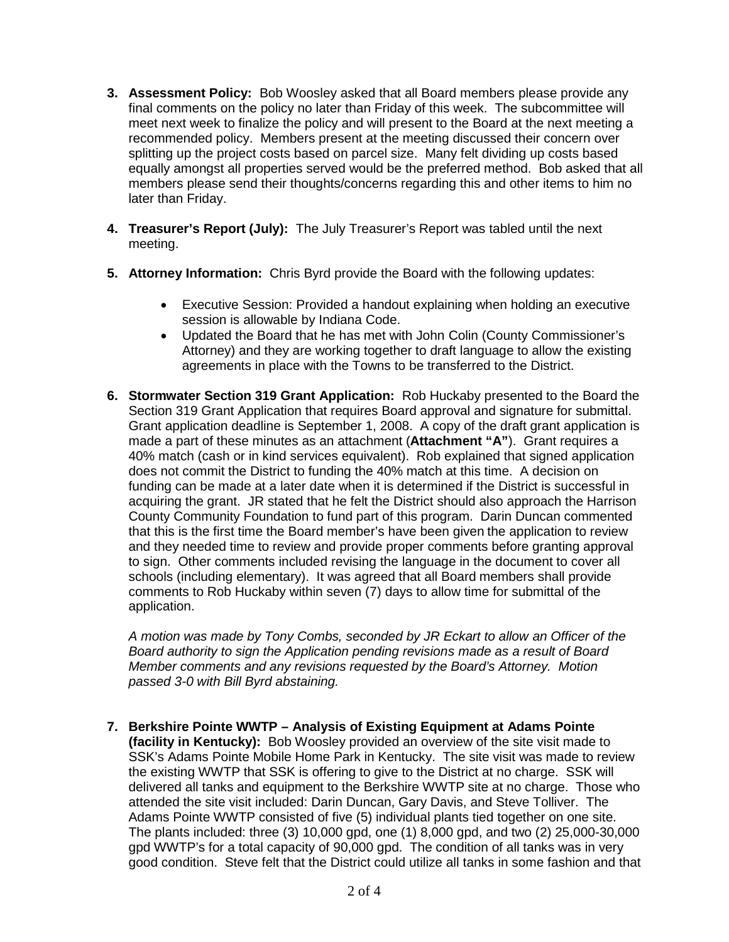- **3. Assessment Policy:** Bob Woosley asked that all Board members please provide any final comments on the policy no later than Friday of this week. The subcommittee will meet next week to finalize the policy and will present to the Board at the next meeting a recommended policy. Members present at the meeting discussed their concern over splitting up the project costs based on parcel size. Many felt dividing up costs based equally amongst all properties served would be the preferred method. Bob asked that all members please send their thoughts/concerns regarding this and other items to him no later than Friday.
- **4. Treasurer's Report (July):** The July Treasurer's Report was tabled until the next meeting.
- **5. Attorney Information:** Chris Byrd provide the Board with the following updates:
	- Executive Session: Provided a handout explaining when holding an executive session is allowable by Indiana Code.
	- Updated the Board that he has met with John Colin (County Commissioner's Attorney) and they are working together to draft language to allow the existing agreements in place with the Towns to be transferred to the District.
- **6. Stormwater Section 319 Grant Application:** Rob Huckaby presented to the Board the Section 319 Grant Application that requires Board approval and signature for submittal. Grant application deadline is September 1, 2008. A copy of the draft grant application is made a part of these minutes as an attachment (**Attachment "A"**). Grant requires a 40% match (cash or in kind services equivalent). Rob explained that signed application does not commit the District to funding the 40% match at this time. A decision on funding can be made at a later date when it is determined if the District is successful in acquiring the grant. JR stated that he felt the District should also approach the Harrison County Community Foundation to fund part of this program. Darin Duncan commented that this is the first time the Board member's have been given the application to review and they needed time to review and provide proper comments before granting approval to sign. Other comments included revising the language in the document to cover all schools (including elementary). It was agreed that all Board members shall provide comments to Rob Huckaby within seven (7) days to allow time for submittal of the application.

*A motion was made by Tony Combs, seconded by JR Eckart to allow an Officer of the Board authority to sign the Application pending revisions made as a result of Board Member comments and any revisions requested by the Board's Attorney. Motion passed 3-0 with Bill Byrd abstaining.* 

**7. Berkshire Pointe WWTP – Analysis of Existing Equipment at Adams Pointe** 

**(facility in Kentucky):** Bob Woosley provided an overview of the site visit made to SSK's Adams Pointe Mobile Home Park in Kentucky. The site visit was made to review the existing WWTP that SSK is offering to give to the District at no charge. SSK will delivered all tanks and equipment to the Berkshire WWTP site at no charge. Those who attended the site visit included: Darin Duncan, Gary Davis, and Steve Tolliver. The Adams Pointe WWTP consisted of five (5) individual plants tied together on one site. The plants included: three (3) 10,000 gpd, one (1) 8,000 gpd, and two (2) 25,000-30,000 gpd WWTP's for a total capacity of 90,000 gpd. The condition of all tanks was in very good condition. Steve felt that the District could utilize all tanks in some fashion and that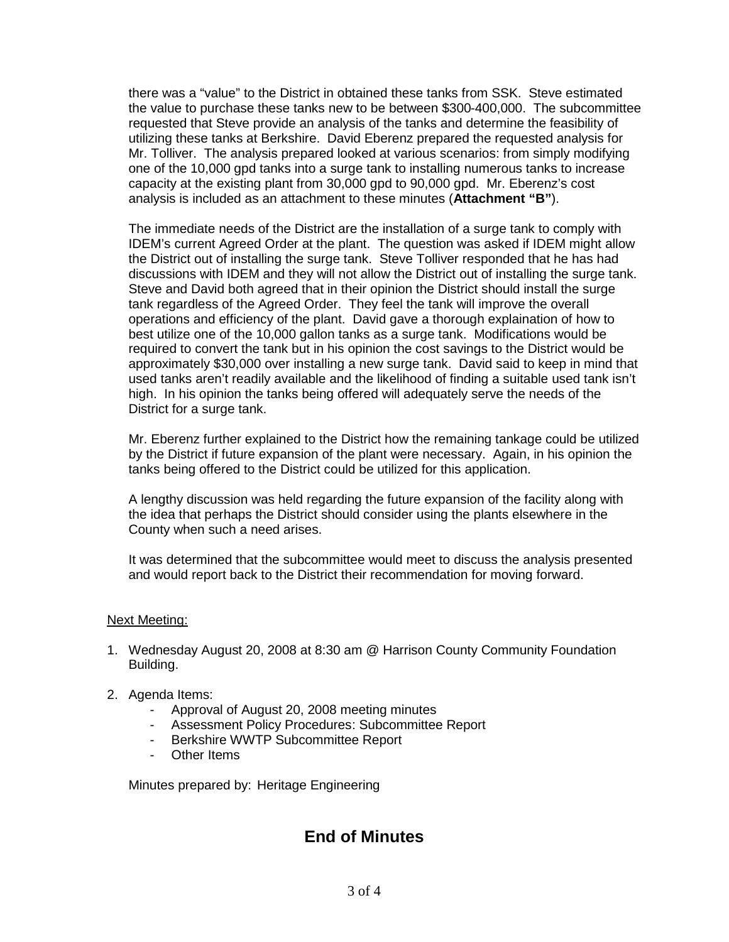there was a "value" to the District in obtained these tanks from SSK. Steve estimated the value to purchase these tanks new to be between \$300-400,000. The subcommittee requested that Steve provide an analysis of the tanks and determine the feasibility of utilizing these tanks at Berkshire. David Eberenz prepared the requested analysis for Mr. Tolliver. The analysis prepared looked at various scenarios: from simply modifying one of the 10,000 gpd tanks into a surge tank to installing numerous tanks to increase capacity at the existing plant from 30,000 gpd to 90,000 gpd. Mr. Eberenz's cost analysis is included as an attachment to these minutes (**Attachment "B"**).

The immediate needs of the District are the installation of a surge tank to comply with IDEM's current Agreed Order at the plant. The question was asked if IDEM might allow the District out of installing the surge tank. Steve Tolliver responded that he has had discussions with IDEM and they will not allow the District out of installing the surge tank. Steve and David both agreed that in their opinion the District should install the surge tank regardless of the Agreed Order. They feel the tank will improve the overall operations and efficiency of the plant. David gave a thorough explaination of how to best utilize one of the 10,000 gallon tanks as a surge tank. Modifications would be required to convert the tank but in his opinion the cost savings to the District would be approximately \$30,000 over installing a new surge tank. David said to keep in mind that used tanks aren't readily available and the likelihood of finding a suitable used tank isn't high. In his opinion the tanks being offered will adequately serve the needs of the District for a surge tank.

Mr. Eberenz further explained to the District how the remaining tankage could be utilized by the District if future expansion of the plant were necessary. Again, in his opinion the tanks being offered to the District could be utilized for this application.

A lengthy discussion was held regarding the future expansion of the facility along with the idea that perhaps the District should consider using the plants elsewhere in the County when such a need arises.

It was determined that the subcommittee would meet to discuss the analysis presented and would report back to the District their recommendation for moving forward.

#### Next Meeting:

- 1. Wednesday August 20, 2008 at 8:30 am @ Harrison County Community Foundation Building.
- 2. Agenda Items:
	- Approval of August 20, 2008 meeting minutes
	- Assessment Policy Procedures: Subcommittee Report
	- Berkshire WWTP Subcommittee Report
	- Other Items

Minutes prepared by: Heritage Engineering

# **End of Minutes**